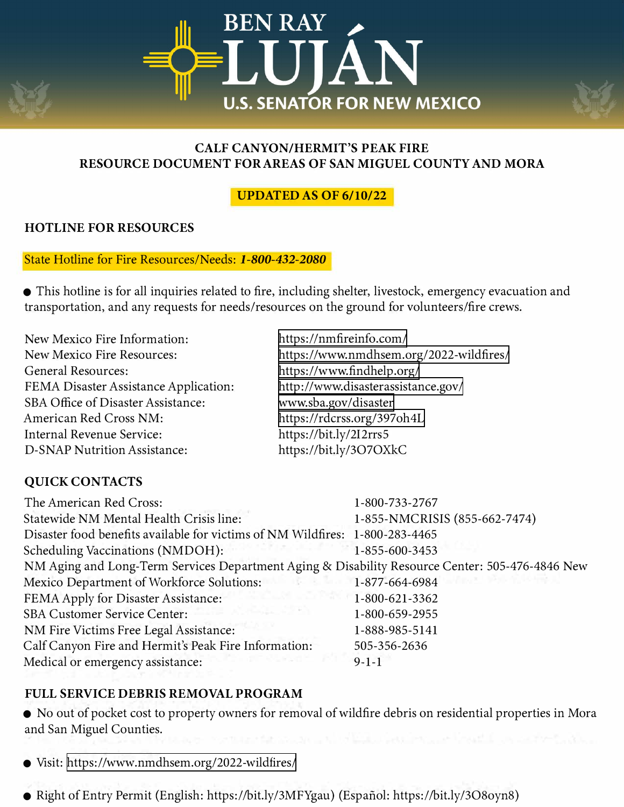

### **CALF CANYON/HERMIT'S PEAK FIRE RESOURCE DOCUMENT FOR AREAS OF SAN MIGUEL COUNTY AND MORA**

# **UPDATED AS OF 6/10/22**

## **HOTLINE FOR RESOURCES**

#### State Hotline for Fire Resources/Needs: *1-800-432-2080*

• This hotline is for all inquiries related to fire, including shelter, livestock, emergency evacuation and transportation, and any requests for needs/resources on the ground for volunteers/fire crews.

| New Mexico Fire Information:          | https://nmfireinfo.com/                 |
|---------------------------------------|-----------------------------------------|
| New Mexico Fire Resources:            | https://www.nmdhsem.org/2022-wildfires/ |
| General Resources:                    | https://www.findhelp.org/               |
| FEMA Disaster Assistance Application: | http://www.disasterassistance.gov/      |
| SBA Office of Disaster Assistance:    | www.sba.gov/disaster                    |
| American Red Cross NM:                | https://rdcrss.org/397oh4L              |
| Internal Revenue Service:             | https://bit.ly/2I2rrs5                  |
| D-SNAP Nutrition Assistance:          | https://bit.ly/3O7OXkC                  |

## **QUICK CONTACTS**

| The American Red Cross:                                                                         | 1-800-733-2767                |
|-------------------------------------------------------------------------------------------------|-------------------------------|
| Statewide NM Mental Health Crisis line:                                                         | 1-855-NMCRISIS (855-662-7474) |
| Disaster food benefits available for victims of NM Wildfires: 1-800-283-4465                    |                               |
| Scheduling Vaccinations (NMDOH):                                                                | 1-855-600-3453                |
| NM Aging and Long-Term Services Department Aging & Disability Resource Center: 505-476-4846 New |                               |
| Mexico Department of Workforce Solutions:                                                       | 1-877-664-6984                |
| FEMA Apply for Disaster Assistance:                                                             | 1-800-621-3362                |
| <b>SBA Customer Service Center:</b>                                                             | 1-800-659-2955                |
| NM Fire Victims Free Legal Assistance:                                                          | 1-888-985-5141                |
| Calf Canyon Fire and Hermit's Peak Fire Information:                                            | 505-356-2636                  |
| Medical or emergency assistance:                                                                | $9-1-1$                       |

#### **FULL SERVICE DEBRIS REMOVAL PROGRAM**

• No out of pocket cost to property owners for removal of wildfire debris on residential properties in Mora and San Miguel Counties.

• Visit: <https://www.nmdhsem.org/2022-wildfires/>

• Right of Entry Permit (English: https://bit.ly/3MFYgau) (Espanol: https://bit.ly/3O8oyn8)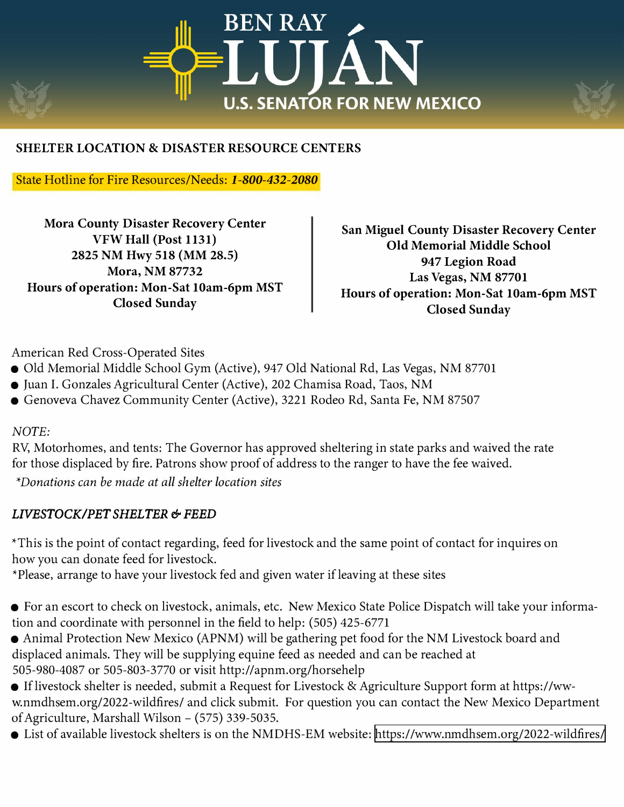

## **SHELTER LOCATION** & **DISASTER RESOURCE CENTERS**

State Hotline for Fire Resources/Needs: *1-800-432-2080*

**Mora County Disaster Recovery Center VFW Hall (Post 1131) 2825 NM Hwy 518 (MM 28.5) Mora, NM 87732 Hours of operation: Mon-Sat 10am-6pm MST Closed Sunday** 

**San Miguel County Disaster Recovery Center Old Memorial Middle School**  947 Legion Road **Las Vegas, NM 87701 Hours of operation: Mon-Sat 10am-6pm MST Closed Sunday** 

American Red Cross-Operated Sites

- Old Memorial Middle School Gym (Active), 947 Old National Rd, Las Vegas, NM 87701
- Juan I. Gonzales Agricultural Center (Active), 202 Chamisa Road, Taos, NM
- Genoveva Chavez Community Center (Active), 3221 Rodeo Rd, Santa Fe, NM 87507

## *NOTE:*

RV, Motorhomes, and tents: The Governor has approved sheltering in state parks and waived the rate for those displaced by fire. Patrons show proof of address to the ranger to have the fee waived.

*\*Donations can be made at all shelter location sites*

# *LIVESTOCK/PET SHELTER & FEED*

\*This is the point of contact regarding, feed for livestock and the same point of contact for inquires on how you can donate feed for livestock.

\*Please, arrange to have your livestock fed and given water if leaving at these sites

- For an escort to check on livestock, animals, etc. New Mexico State Police Dispatch will take your information and coordinate with personnel in the field to help: (505) 425-6771
- Animal Protection New Mexico (APNM) will be gathering pet food for the NM Livestock board and displaced animals. They will be supplying equine feed as needed and can be reached at 505-980-4087 or 505-803-3770 or visit<http://apnm.org/horsehelp>
- If livestock shelter is needed, submit a Request for Livestock & Agriculture Support form at https://www.nmdhsem.org/2022-wildfires/ and click submit. For question you can contact the New Mexico Department of Agriculture, Marshall Wilson - (575) 339-5035.
- List of available livestock shelters is on the NMDHS-EM website: <https://www.nmdhsem.org/2022-wildfires/>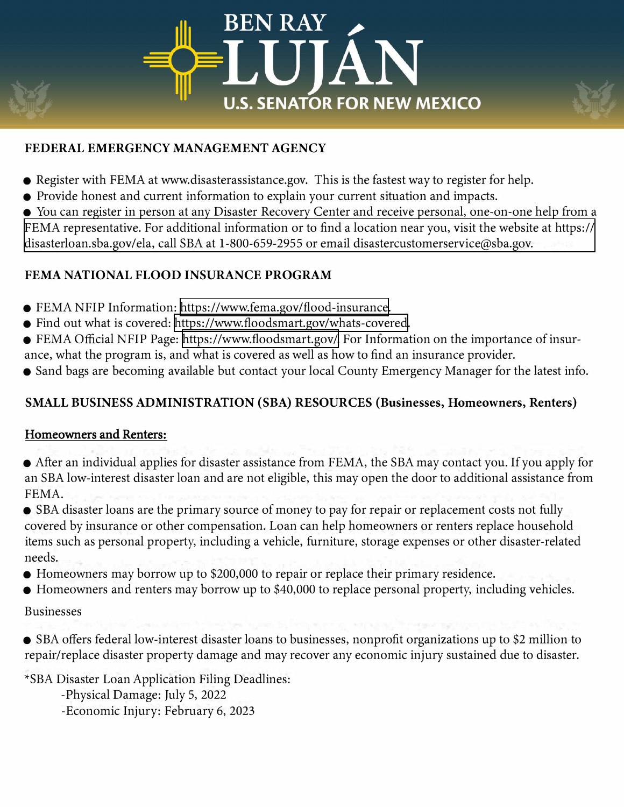



## **FEDERAL EMERGENCY MANAGEMENT AGENCY**

- Register with FEMA at www.disasterassistance.gov. This is the fastest way to register for help.
- Provide honest and current information to explain your current situation and impacts.

• You can register in person at any Disaster Recovery Center and receive personal, one-on-one help from a [FEMA representative. For additional information or to](https://disasterloan.sba.gov/ela) find a location near you, visit the website at https:// disasterloan.sba.gov/ela, call SBA at 1-800-659-2955 or email disastercustomerservice@sba.gov.

## **FEMA NATIONAL FLOOD INSURANCE PROGRAM**

- FEMA NFIP Information:<https://www.fema.gov/flood-insurance>.
- Find out what is covered:<https://www.floodsmart.gov/whats-covered>.
- FEMA Official NFIP Page: [https://www.floodsmart.gov/.](https://www.floodsmart.gov/) For Information on the importance of insurance, what the program is, and what is covered as well as how to find an insurance provider.
- Sand bags are becoming available but contact your local County Emergency Manager for the latest info.

# **SMALL BUSINESS ADMINISTRATION (SBA) RESOURCES (Businesses, Homeowners, Renters)**

## Homeowners and Renters:

• After an individual applies for disaster assistance from FEMA, the SBA may contact you. If you apply for an SBA low-interest disaster loan and are not eligible, this may open the door to additional assistance from FEMA.

• SBA disaster loans are the primary source of money to pay for repair or replacement costs not fully covered by insurance or other compensation. Loan can help homeowners or renters replace household items such as personal property, including a vehicle, furniture, storage expenses or other disaster-related needs.

- Homeowners may borrow up to \$200,000 to repair or replace their primary residence.
- Homeowners and renters may borrow up to \$40,000 to replace personal property, including vehicles.

#### Businesses

• SBA offers federal low-interest disaster loans to businesses, nonprofit organizations up to \$2 million to repair/replace disaster property damage and may recover any economic injury sustained due to disaster.

*\*SBA* Disaster Loan Application Filing Deadlines:

- -Physical Damage: July 5, 2022
- -Economic Injury: February 6, 2023